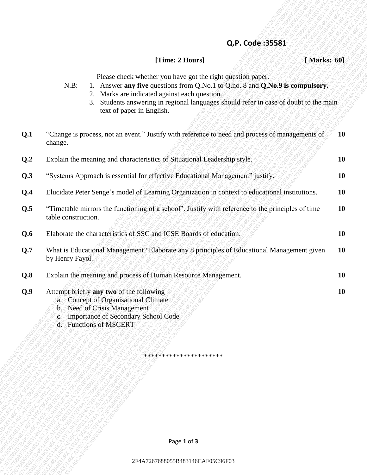#### **Q.P. Code :35581**

### **[Time: 2 Hours] [ Marks: 60]**

| Please check whether you have got the right question paper. |  |  |
|-------------------------------------------------------------|--|--|

- N.B: 1. Answer **any five** questions from Q.No.1 to Q.no. 8 and **Q.No.9 is compulsory.**
	- 2. Marks are indicated against each question.
	- 3. Students answering in regional languages should refer in case of doubt to the main text of paper in English.

| Q.P. Code: 35581<br>[Time: 2 Hours]<br>[ Marks: 60]<br>Please check whether you have got the right question paper.<br>1. Answer any five questions from Q.No.1 to Q.no. 8 and Q.No.9 is compulsory.<br>$N.B$ :<br>2. Marks are indicated against each question.<br>3. Students answering in regional languages should refer in case of doubt to the main<br>text of paper in English.<br>"Change is process, not an event." Justify with reference to need and process of managements of<br>change.<br>Explain the meaning and characteristics of Situational Leadership style.<br>"Systems Approach is essential for effective Educational Management" justify.<br>Elucidate Peter Senge's model of Learning Organization in context to educational institutions.<br>"Timetable mirrors the functioning of a school". Justify with reference to the principles of time<br>table construction.<br>Elaborate the characteristics of SSC and ICSE Boards of education.<br>What is Educational Management? Elaborate any 8 principles of Educational Management given<br>by Henry Fayol.<br>Explain the meaning and process of Human Resource Management.<br>Attempt briefly any two of the following<br>a. Concept of Organisational Climate<br>b. Need of Crisis Management<br><b>Importance of Secondary School Code</b><br>$\mathbf{C}$<br>d. Functions of MSCERT<br>**********************<br>Page 1 of 3 |     |                                  |           |
|-------------------------------------------------------------------------------------------------------------------------------------------------------------------------------------------------------------------------------------------------------------------------------------------------------------------------------------------------------------------------------------------------------------------------------------------------------------------------------------------------------------------------------------------------------------------------------------------------------------------------------------------------------------------------------------------------------------------------------------------------------------------------------------------------------------------------------------------------------------------------------------------------------------------------------------------------------------------------------------------------------------------------------------------------------------------------------------------------------------------------------------------------------------------------------------------------------------------------------------------------------------------------------------------------------------------------------------------------------------------------------------------------------------|-----|----------------------------------|-----------|
|                                                                                                                                                                                                                                                                                                                                                                                                                                                                                                                                                                                                                                                                                                                                                                                                                                                                                                                                                                                                                                                                                                                                                                                                                                                                                                                                                                                                             |     |                                  |           |
|                                                                                                                                                                                                                                                                                                                                                                                                                                                                                                                                                                                                                                                                                                                                                                                                                                                                                                                                                                                                                                                                                                                                                                                                                                                                                                                                                                                                             |     |                                  |           |
|                                                                                                                                                                                                                                                                                                                                                                                                                                                                                                                                                                                                                                                                                                                                                                                                                                                                                                                                                                                                                                                                                                                                                                                                                                                                                                                                                                                                             |     |                                  |           |
|                                                                                                                                                                                                                                                                                                                                                                                                                                                                                                                                                                                                                                                                                                                                                                                                                                                                                                                                                                                                                                                                                                                                                                                                                                                                                                                                                                                                             | Q.1 |                                  | <b>10</b> |
|                                                                                                                                                                                                                                                                                                                                                                                                                                                                                                                                                                                                                                                                                                                                                                                                                                                                                                                                                                                                                                                                                                                                                                                                                                                                                                                                                                                                             | Q.2 |                                  | 10        |
|                                                                                                                                                                                                                                                                                                                                                                                                                                                                                                                                                                                                                                                                                                                                                                                                                                                                                                                                                                                                                                                                                                                                                                                                                                                                                                                                                                                                             | Q.3 |                                  | <b>10</b> |
|                                                                                                                                                                                                                                                                                                                                                                                                                                                                                                                                                                                                                                                                                                                                                                                                                                                                                                                                                                                                                                                                                                                                                                                                                                                                                                                                                                                                             | Q.4 |                                  | 10        |
|                                                                                                                                                                                                                                                                                                                                                                                                                                                                                                                                                                                                                                                                                                                                                                                                                                                                                                                                                                                                                                                                                                                                                                                                                                                                                                                                                                                                             | Q.5 |                                  | <b>10</b> |
|                                                                                                                                                                                                                                                                                                                                                                                                                                                                                                                                                                                                                                                                                                                                                                                                                                                                                                                                                                                                                                                                                                                                                                                                                                                                                                                                                                                                             | Q.6 |                                  | 10        |
|                                                                                                                                                                                                                                                                                                                                                                                                                                                                                                                                                                                                                                                                                                                                                                                                                                                                                                                                                                                                                                                                                                                                                                                                                                                                                                                                                                                                             | Q.7 |                                  | <b>10</b> |
|                                                                                                                                                                                                                                                                                                                                                                                                                                                                                                                                                                                                                                                                                                                                                                                                                                                                                                                                                                                                                                                                                                                                                                                                                                                                                                                                                                                                             | Q.8 |                                  | 10        |
|                                                                                                                                                                                                                                                                                                                                                                                                                                                                                                                                                                                                                                                                                                                                                                                                                                                                                                                                                                                                                                                                                                                                                                                                                                                                                                                                                                                                             | Q.9 |                                  | 10        |
|                                                                                                                                                                                                                                                                                                                                                                                                                                                                                                                                                                                                                                                                                                                                                                                                                                                                                                                                                                                                                                                                                                                                                                                                                                                                                                                                                                                                             |     |                                  |           |
|                                                                                                                                                                                                                                                                                                                                                                                                                                                                                                                                                                                                                                                                                                                                                                                                                                                                                                                                                                                                                                                                                                                                                                                                                                                                                                                                                                                                             |     |                                  |           |
|                                                                                                                                                                                                                                                                                                                                                                                                                                                                                                                                                                                                                                                                                                                                                                                                                                                                                                                                                                                                                                                                                                                                                                                                                                                                                                                                                                                                             |     |                                  |           |
|                                                                                                                                                                                                                                                                                                                                                                                                                                                                                                                                                                                                                                                                                                                                                                                                                                                                                                                                                                                                                                                                                                                                                                                                                                                                                                                                                                                                             |     |                                  |           |
|                                                                                                                                                                                                                                                                                                                                                                                                                                                                                                                                                                                                                                                                                                                                                                                                                                                                                                                                                                                                                                                                                                                                                                                                                                                                                                                                                                                                             |     |                                  |           |
|                                                                                                                                                                                                                                                                                                                                                                                                                                                                                                                                                                                                                                                                                                                                                                                                                                                                                                                                                                                                                                                                                                                                                                                                                                                                                                                                                                                                             |     |                                  |           |
|                                                                                                                                                                                                                                                                                                                                                                                                                                                                                                                                                                                                                                                                                                                                                                                                                                                                                                                                                                                                                                                                                                                                                                                                                                                                                                                                                                                                             |     | 2F4A7267688055B483146CAF05C96F03 |           |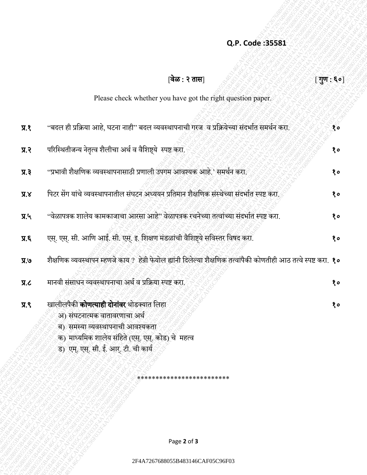## **Q.P. Code :35581**

|                                 | Q.P. Code: 35581                                                                                                   |                                |
|---------------------------------|--------------------------------------------------------------------------------------------------------------------|--------------------------------|
|                                 | वेळ : २ तास                                                                                                        | $[\mathbb{J}]\mathbb{u}$ : ६०] |
|                                 | Please check whether you have got the right question paper.                                                        |                                |
|                                 |                                                                                                                    |                                |
| 9.8                             | ''बदल ही प्रक्रिया आहे, घटना नाही'' बदल व्यवस्थापनाची गरज व प्रक्रियेच्या संदर्भात समर्थन करा.                     | 80                             |
| $\mathbf{F}.\mathbf{K}$         | परिस्थितीजन्य नेतृत्व शैलीचा अर्थ व वैशिष्ट्ये स्पष्ट करा.                                                         | १०                             |
| $\overline{y}$ . $\overline{z}$ | ''प्रभावी शैक्षणिक व्यवस्थापनासाठी प्रणाली उपगम आवश्यक आहे.' समर्थन करा.                                           | 80                             |
| X, K                            | पिटर सेंग यांचे व्यवस्थापनातील संघटन अध्ययन प्रतिमान शैक्षणिक संस्थेच्या संदर्भात स्पष्ट करा.                      | १०                             |
| 7.4                             | ''वेळापत्रक शालेय कामकाजाचा आरसा आहे'' वेळापत्रक रचनेच्या तत्वांच्या संदर्भात स्पष्ट करा.                          | १०                             |
| $\overline{J}$ . K              | एस्. एस्. सी. आणि आई. सी. एस्. इ. शिक्षण मंडळांची वैशिष्ट्ये सविस्तर विषद करा.                                     | १०                             |
| 9R                              | शैक्षणिक व्यवस्थापन म्हणजे काय ? हेन्री फेयोल ह्यांनी दिलेल्या शैक्षणिक तत्वांपैकी कोणतीही आठ तत्वे स्पष्ट करा. १० |                                |
| J.R                             | मानवी संसाधन व्यवस्थापनाचा अर्थ व प्रक्रिया स्पष्ट करा.                                                            | 80                             |
| $\overline{A}$ .                | खालीलपैकी <b>कोणत्याही दोनांवर</b> थोडक्यात लिहा                                                                   | 80                             |
|                                 | अ) संघटनात्मक वातावरणाचा अर्थ                                                                                      |                                |
|                                 | ब) समस्या व्यवस्थापनाची आवश्यकता                                                                                   |                                |
|                                 | क) माध्यमिक शालेय संहिते (एस्. एस्. कोड) चे  महत्व                                                                 |                                |
|                                 | ड) एम्. एस्. सी. ई. आर्. टी. ची कार्य                                                                              |                                |
|                                 |                                                                                                                    |                                |
|                                 | ************************                                                                                           |                                |
|                                 |                                                                                                                    |                                |
|                                 |                                                                                                                    |                                |
|                                 |                                                                                                                    |                                |
|                                 |                                                                                                                    |                                |
|                                 | Page 2 of 3                                                                                                        |                                |
|                                 | 2F4A7267688055B483146CAF05C96F03                                                                                   |                                |
|                                 |                                                                                                                    |                                |